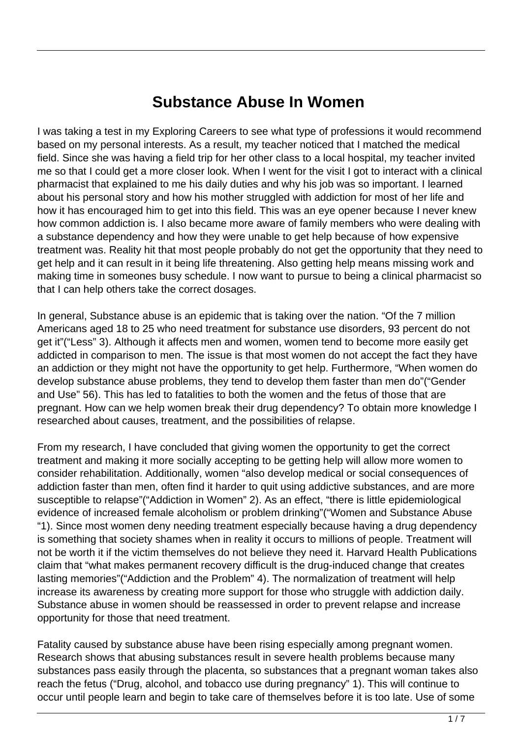## **Substance Abuse In Women**

I was taking a test in my Exploring Careers to see what type of professions it would recommend based on my personal interests. As a result, my teacher noticed that I matched the medical field. Since she was having a field trip for her other class to a local hospital, my teacher invited me so that I could get a more closer look. When I went for the visit I got to interact with a clinical pharmacist that explained to me his daily duties and why his job was so important. I learned about his personal story and how his mother struggled with addiction for most of her life and how it has encouraged him to get into this field. This was an eye opener because I never knew how common addiction is. I also became more aware of family members who were dealing with a substance dependency and how they were unable to get help because of how expensive treatment was. Reality hit that most people probably do not get the opportunity that they need to get help and it can result in it being life threatening. Also getting help means missing work and making time in someones busy schedule. I now want to pursue to being a clinical pharmacist so that I can help others take the correct dosages.

In general, Substance abuse is an epidemic that is taking over the nation. "Of the 7 million Americans aged 18 to 25 who need treatment for substance use disorders, 93 percent do not get it"("Less" 3). Although it affects men and women, women tend to become more easily get addicted in comparison to men. The issue is that most women do not accept the fact they have an addiction or they might not have the opportunity to get help. Furthermore, "When women do develop substance abuse problems, they tend to develop them faster than men do"("Gender and Use" 56). This has led to fatalities to both the women and the fetus of those that are pregnant. How can we help women break their drug dependency? To obtain more knowledge I researched about causes, treatment, and the possibilities of relapse.

From my research, I have concluded that giving women the opportunity to get the correct treatment and making it more socially accepting to be getting help will allow more women to consider rehabilitation. Additionally, women "also develop medical or social consequences of addiction faster than men, often find it harder to quit using addictive substances, and are more susceptible to relapse"("Addiction in Women" 2). As an effect, "there is little epidemiological evidence of increased female alcoholism or problem drinking"("Women and Substance Abuse "1). Since most women deny needing treatment especially because having a drug dependency is something that society shames when in reality it occurs to millions of people. Treatment will not be worth it if the victim themselves do not believe they need it. Harvard Health Publications claim that "what makes permanent recovery difficult is the drug-induced change that creates lasting memories"("Addiction and the Problem" 4). The normalization of treatment will help increase its awareness by creating more support for those who struggle with addiction daily. Substance abuse in women should be reassessed in order to prevent relapse and increase opportunity for those that need treatment.

Fatality caused by substance abuse have been rising especially among pregnant women. Research shows that abusing substances result in severe health problems because many substances pass easily through the placenta, so substances that a pregnant woman takes also reach the fetus ("Drug, alcohol, and tobacco use during pregnancy" 1). This will continue to occur until people learn and begin to take care of themselves before it is too late. Use of some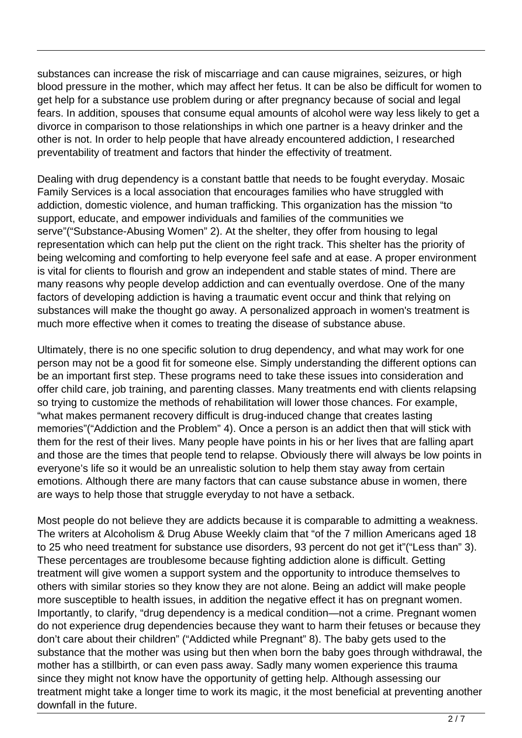substances can increase the risk of miscarriage and can cause migraines, seizures, or high blood pressure in the mother, which may affect her fetus. It can be also be difficult for women to get help for a substance use problem during or after pregnancy because of social and legal fears. In addition, spouses that consume equal amounts of alcohol were way less likely to get a divorce in comparison to those relationships in which one partner is a heavy drinker and the other is not. In order to help people that have already encountered addiction, I researched preventability of treatment and factors that hinder the effectivity of treatment.

Dealing with drug dependency is a constant battle that needs to be fought everyday. Mosaic Family Services is a local association that encourages families who have struggled with addiction, domestic violence, and human trafficking. This organization has the mission "to support, educate, and empower individuals and families of the communities we serve"("Substance-Abusing Women" 2). At the shelter, they offer from housing to legal representation which can help put the client on the right track. This shelter has the priority of being welcoming and comforting to help everyone feel safe and at ease. A proper environment is vital for clients to flourish and grow an independent and stable states of mind. There are many reasons why people develop addiction and can eventually overdose. One of the many factors of developing addiction is having a traumatic event occur and think that relying on substances will make the thought go away. A personalized approach in women's treatment is much more effective when it comes to treating the disease of substance abuse.

Ultimately, there is no one specific solution to drug dependency, and what may work for one person may not be a good fit for someone else. Simply understanding the different options can be an important first step. These programs need to take these issues into consideration and offer child care, job training, and parenting classes. Many treatments end with clients relapsing so trying to customize the methods of rehabilitation will lower those chances. For example, "what makes permanent recovery difficult is drug-induced change that creates lasting memories"("Addiction and the Problem" 4). Once a person is an addict then that will stick with them for the rest of their lives. Many people have points in his or her lives that are falling apart and those are the times that people tend to relapse. Obviously there will always be low points in everyone's life so it would be an unrealistic solution to help them stay away from certain emotions. Although there are many factors that can cause substance abuse in women, there are ways to help those that struggle everyday to not have a setback.

Most people do not believe they are addicts because it is comparable to admitting a weakness. The writers at Alcoholism & Drug Abuse Weekly claim that "of the 7 million Americans aged 18 to 25 who need treatment for substance use disorders, 93 percent do not get it"("Less than" 3). These percentages are troublesome because fighting addiction alone is difficult. Getting treatment will give women a support system and the opportunity to introduce themselves to others with similar stories so they know they are not alone. Being an addict will make people more susceptible to health issues, in addition the negative effect it has on pregnant women. Importantly, to clarify, "drug dependency is a medical condition—not a crime. Pregnant women do not experience drug dependencies because they want to harm their fetuses or because they don't care about their children" ("Addicted while Pregnant" 8). The baby gets used to the substance that the mother was using but then when born the baby goes through withdrawal, the mother has a stillbirth, or can even pass away. Sadly many women experience this trauma since they might not know have the opportunity of getting help. Although assessing our treatment might take a longer time to work its magic, it the most beneficial at preventing another downfall in the future.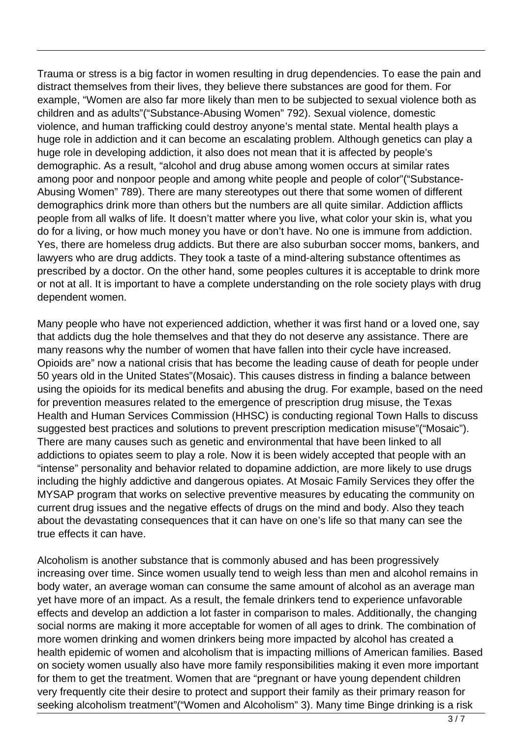Trauma or stress is a big factor in women resulting in drug dependencies. To ease the pain and distract themselves from their lives, they believe there substances are good for them. For example, "Women are also far more likely than men to be subjected to sexual violence both as children and as adults"("Substance-Abusing Women" 792). Sexual violence, domestic violence, and human trafficking could destroy anyone's mental state. Mental health plays a huge role in addiction and it can become an escalating problem. Although genetics can play a huge role in developing addiction, it also does not mean that it is affected by people's demographic. As a result, "alcohol and drug abuse among women occurs at similar rates among poor and nonpoor people and among white people and people of color"("Substance-Abusing Women" 789). There are many stereotypes out there that some women of different demographics drink more than others but the numbers are all quite similar. Addiction afflicts people from all walks of life. It doesn't matter where you live, what color your skin is, what you do for a living, or how much money you have or don't have. No one is immune from addiction. Yes, there are homeless drug addicts. But there are also suburban soccer moms, bankers, and lawyers who are drug addicts. They took a taste of a mind-altering substance oftentimes as prescribed by a doctor. On the other hand, some peoples cultures it is acceptable to drink more or not at all. It is important to have a complete understanding on the role society plays with drug dependent women.

Many people who have not experienced addiction, whether it was first hand or a loved one, say that addicts dug the hole themselves and that they do not deserve any assistance. There are many reasons why the number of women that have fallen into their cycle have increased. Opioids are" now a national crisis that has become the leading cause of death for people under 50 years old in the United States"(Mosaic). This causes distress in finding a balance between using the opioids for its medical benefits and abusing the drug. For example, based on the need for prevention measures related to the emergence of prescription drug misuse, the Texas Health and Human Services Commission (HHSC) is conducting regional Town Halls to discuss suggested best practices and solutions to prevent prescription medication misuse"("Mosaic"). There are many causes such as genetic and environmental that have been linked to all addictions to opiates seem to play a role. Now it is been widely accepted that people with an "intense" personality and behavior related to dopamine addiction, are more likely to use drugs including the highly addictive and dangerous opiates. At Mosaic Family Services they offer the MYSAP program that works on selective preventive measures by educating the community on current drug issues and the negative effects of drugs on the mind and body. Also they teach about the devastating consequences that it can have on one's life so that many can see the true effects it can have.

Alcoholism is another substance that is commonly abused and has been progressively increasing over time. Since women usually tend to weigh less than men and alcohol remains in body water, an average woman can consume the same amount of alcohol as an average man yet have more of an impact. As a result, the female drinkers tend to experience unfavorable effects and develop an addiction a lot faster in comparison to males. Additionally, the changing social norms are making it more acceptable for women of all ages to drink. The combination of more women drinking and women drinkers being more impacted by alcohol has created a health epidemic of women and alcoholism that is impacting millions of American families. Based on society women usually also have more family responsibilities making it even more important for them to get the treatment. Women that are "pregnant or have young dependent children very frequently cite their desire to protect and support their family as their primary reason for seeking alcoholism treatment"("Women and Alcoholism" 3). Many time Binge drinking is a risk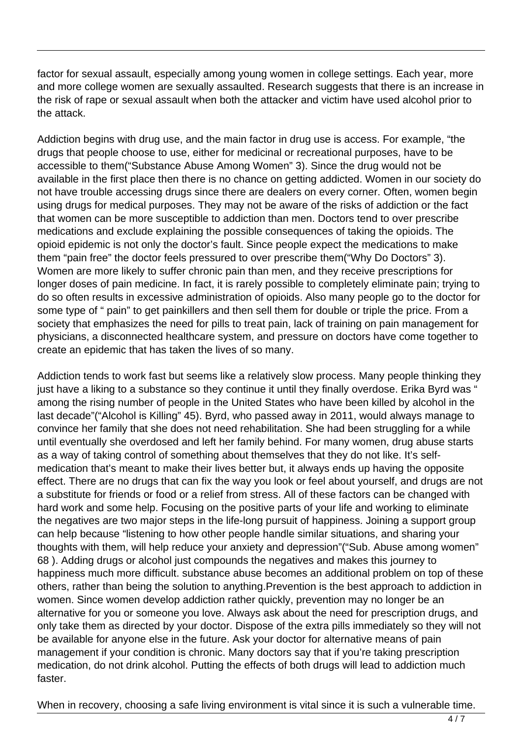factor for sexual assault, especially among young women in college settings. Each year, more and more college women are sexually assaulted. Research suggests that there is an increase in the risk of rape or sexual assault when both the attacker and victim have used alcohol prior to the attack.

Addiction begins with drug use, and the main factor in drug use is access. For example, "the drugs that people choose to use, either for medicinal or recreational purposes, have to be accessible to them("Substance Abuse Among Women" 3). Since the drug would not be available in the first place then there is no chance on getting addicted. Women in our society do not have trouble accessing drugs since there are dealers on every corner. Often, women begin using drugs for medical purposes. They may not be aware of the risks of addiction or the fact that women can be more susceptible to addiction than men. Doctors tend to over prescribe medications and exclude explaining the possible consequences of taking the opioids. The opioid epidemic is not only the doctor's fault. Since people expect the medications to make them "pain free" the doctor feels pressured to over prescribe them("Why Do Doctors" 3). Women are more likely to suffer chronic pain than men, and they receive prescriptions for longer doses of pain medicine. In fact, it is rarely possible to completely eliminate pain; trying to do so often results in excessive administration of opioids. Also many people go to the doctor for some type of " pain" to get painkillers and then sell them for double or triple the price. From a society that emphasizes the need for pills to treat pain, lack of training on pain management for physicians, a disconnected healthcare system, and pressure on doctors have come together to create an epidemic that has taken the lives of so many.

Addiction tends to work fast but seems like a relatively slow process. Many people thinking they just have a liking to a substance so they continue it until they finally overdose. Erika Byrd was " among the rising number of people in the United States who have been killed by alcohol in the last decade"("Alcohol is Killing" 45). Byrd, who passed away in 2011, would always manage to convince her family that she does not need rehabilitation. She had been struggling for a while until eventually she overdosed and left her family behind. For many women, drug abuse starts as a way of taking control of something about themselves that they do not like. It's selfmedication that's meant to make their lives better but, it always ends up having the opposite effect. There are no drugs that can fix the way you look or feel about yourself, and drugs are not a substitute for friends or food or a relief from stress. All of these factors can be changed with hard work and some help. Focusing on the positive parts of your life and working to eliminate the negatives are two major steps in the life-long pursuit of happiness. Joining a support group can help because "listening to how other people handle similar situations, and sharing your thoughts with them, will help reduce your anxiety and depression"("Sub. Abuse among women" 68 ). Adding drugs or alcohol just compounds the negatives and makes this journey to happiness much more difficult. substance abuse becomes an additional problem on top of these others, rather than being the solution to anything.Prevention is the best approach to addiction in women. Since women develop addiction rather quickly, prevention may no longer be an alternative for you or someone you love. Always ask about the need for prescription drugs, and only take them as directed by your doctor. Dispose of the extra pills immediately so they will not be available for anyone else in the future. Ask your doctor for alternative means of pain management if your condition is chronic. Many doctors say that if you're taking prescription medication, do not drink alcohol. Putting the effects of both drugs will lead to addiction much faster.

When in recovery, choosing a safe living environment is vital since it is such a vulnerable time.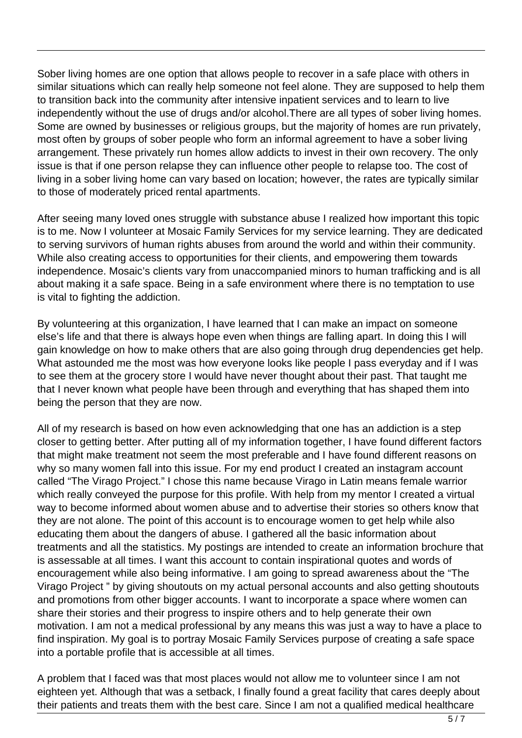Sober living homes are one option that allows people to recover in a safe place with others in similar situations which can really help someone not feel alone. They are supposed to help them to transition back into the community after intensive inpatient services and to learn to live independently without the use of drugs and/or alcohol.There are all types of sober living homes. Some are owned by businesses or religious groups, but the majority of homes are run privately, most often by groups of sober people who form an informal agreement to have a sober living arrangement. These privately run homes allow addicts to invest in their own recovery. The only issue is that if one person relapse they can influence other people to relapse too. The cost of living in a sober living home can vary based on location; however, the rates are typically similar to those of moderately priced rental apartments.

After seeing many loved ones struggle with substance abuse I realized how important this topic is to me. Now I volunteer at Mosaic Family Services for my service learning. They are dedicated to serving survivors of human rights abuses from around the world and within their community. While also creating access to opportunities for their clients, and empowering them towards independence. Mosaic's clients vary from unaccompanied minors to human trafficking and is all about making it a safe space. Being in a safe environment where there is no temptation to use is vital to fighting the addiction.

By volunteering at this organization, I have learned that I can make an impact on someone else's life and that there is always hope even when things are falling apart. In doing this I will gain knowledge on how to make others that are also going through drug dependencies get help. What astounded me the most was how everyone looks like people I pass everyday and if I was to see them at the grocery store I would have never thought about their past. That taught me that I never known what people have been through and everything that has shaped them into being the person that they are now.

All of my research is based on how even acknowledging that one has an addiction is a step closer to getting better. After putting all of my information together, I have found different factors that might make treatment not seem the most preferable and I have found different reasons on why so many women fall into this issue. For my end product I created an instagram account called "The Virago Project." I chose this name because Virago in Latin means female warrior which really conveyed the purpose for this profile. With help from my mentor I created a virtual way to become informed about women abuse and to advertise their stories so others know that they are not alone. The point of this account is to encourage women to get help while also educating them about the dangers of abuse. I gathered all the basic information about treatments and all the statistics. My postings are intended to create an information brochure that is assessable at all times. I want this account to contain inspirational quotes and words of encouragement while also being informative. I am going to spread awareness about the "The Virago Project " by giving shoutouts on my actual personal accounts and also getting shoutouts and promotions from other bigger accounts. I want to incorporate a space where women can share their stories and their progress to inspire others and to help generate their own motivation. I am not a medical professional by any means this was just a way to have a place to find inspiration. My goal is to portray Mosaic Family Services purpose of creating a safe space into a portable profile that is accessible at all times.

A problem that I faced was that most places would not allow me to volunteer since I am not eighteen yet. Although that was a setback, I finally found a great facility that cares deeply about their patients and treats them with the best care. Since I am not a qualified medical healthcare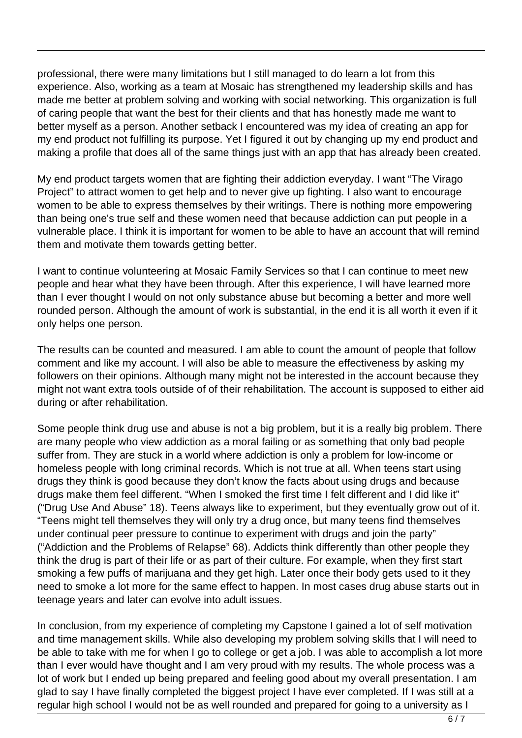professional, there were many limitations but I still managed to do learn a lot from this experience. Also, working as a team at Mosaic has strengthened my leadership skills and has made me better at problem solving and working with social networking. This organization is full of caring people that want the best for their clients and that has honestly made me want to better myself as a person. Another setback I encountered was my idea of creating an app for my end product not fulfilling its purpose. Yet I figured it out by changing up my end product and making a profile that does all of the same things just with an app that has already been created.

My end product targets women that are fighting their addiction everyday. I want "The Virago Project" to attract women to get help and to never give up fighting. I also want to encourage women to be able to express themselves by their writings. There is nothing more empowering than being one's true self and these women need that because addiction can put people in a vulnerable place. I think it is important for women to be able to have an account that will remind them and motivate them towards getting better.

I want to continue volunteering at Mosaic Family Services so that I can continue to meet new people and hear what they have been through. After this experience, I will have learned more than I ever thought I would on not only substance abuse but becoming a better and more well rounded person. Although the amount of work is substantial, in the end it is all worth it even if it only helps one person.

The results can be counted and measured. I am able to count the amount of people that follow comment and like my account. I will also be able to measure the effectiveness by asking my followers on their opinions. Although many might not be interested in the account because they might not want extra tools outside of of their rehabilitation. The account is supposed to either aid during or after rehabilitation.

Some people think drug use and abuse is not a big problem, but it is a really big problem. There are many people who view addiction as a moral failing or as something that only bad people suffer from. They are stuck in a world where addiction is only a problem for low-income or homeless people with long criminal records. Which is not true at all. When teens start using drugs they think is good because they don't know the facts about using drugs and because drugs make them feel different. "When I smoked the first time I felt different and I did like it" ("Drug Use And Abuse" 18). Teens always like to experiment, but they eventually grow out of it. "Teens might tell themselves they will only try a drug once, but many teens find themselves under continual peer pressure to continue to experiment with drugs and join the party" ("Addiction and the Problems of Relapse" 68). Addicts think differently than other people they think the drug is part of their life or as part of their culture. For example, when they first start smoking a few puffs of marijuana and they get high. Later once their body gets used to it they need to smoke a lot more for the same effect to happen. In most cases drug abuse starts out in teenage years and later can evolve into adult issues.

In conclusion, from my experience of completing my Capstone I gained a lot of self motivation and time management skills. While also developing my problem solving skills that I will need to be able to take with me for when I go to college or get a job. I was able to accomplish a lot more than I ever would have thought and I am very proud with my results. The whole process was a lot of work but I ended up being prepared and feeling good about my overall presentation. I am glad to say I have finally completed the biggest project I have ever completed. If I was still at a regular high school I would not be as well rounded and prepared for going to a university as I